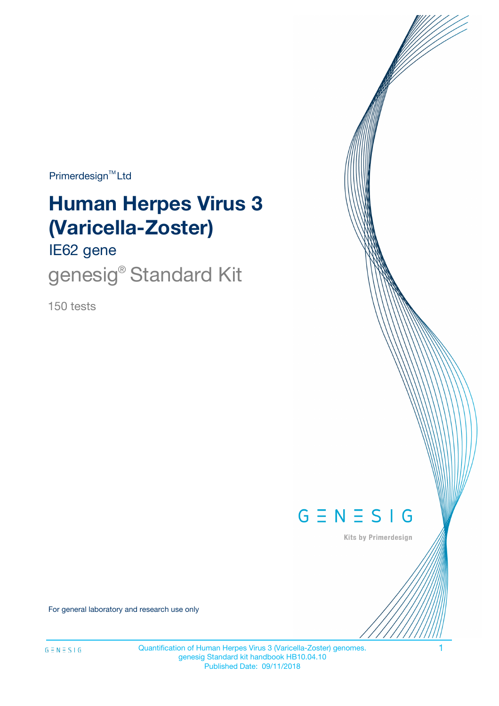Primerdesign<sup>™</sup>Ltd

# **Human Herpes Virus 3 (Varicella-Zoster)**

IE62 gene

genesig<sup>®</sup> Standard Kit

150 tests



Kits by Primerdesign

For general laboratory and research use only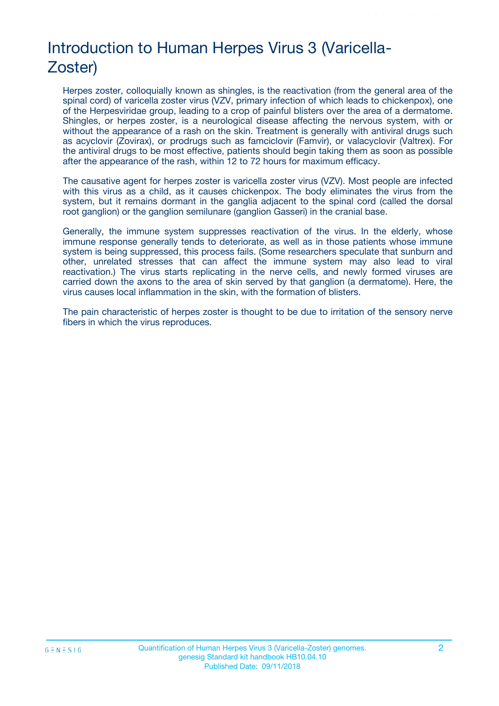# Introduction to Human Herpes Virus 3 (Varicella-Zoster)

Herpes zoster, colloquially known as shingles, is the reactivation (from the general area of the spinal cord) of varicella zoster virus (VZV, primary infection of which leads to chickenpox), one of the Herpesviridae group, leading to a crop of painful blisters over the area of a dermatome. Shingles, or herpes zoster, is a neurological disease affecting the nervous system, with or without the appearance of a rash on the skin. Treatment is generally with antiviral drugs such as acyclovir (Zovirax), or prodrugs such as famciclovir (Famvir), or valacyclovir (Valtrex). For the antiviral drugs to be most effective, patients should begin taking them as soon as possible after the appearance of the rash, within 12 to 72 hours for maximum efficacy.

The causative agent for herpes zoster is varicella zoster virus (VZV). Most people are infected with this virus as a child, as it causes chickenpox. The body eliminates the virus from the system, but it remains dormant in the ganglia adjacent to the spinal cord (called the dorsal root ganglion) or the ganglion semilunare (ganglion Gasseri) in the cranial base.

Generally, the immune system suppresses reactivation of the virus. In the elderly, whose immune response generally tends to deteriorate, as well as in those patients whose immune system is being suppressed, this process fails. (Some researchers speculate that sunburn and other, unrelated stresses that can affect the immune system may also lead to viral reactivation.) The virus starts replicating in the nerve cells, and newly formed viruses are carried down the axons to the area of skin served by that ganglion (a dermatome). Here, the virus causes local inflammation in the skin, with the formation of blisters.

The pain characteristic of herpes zoster is thought to be due to irritation of the sensory nerve fibers in which the virus reproduces.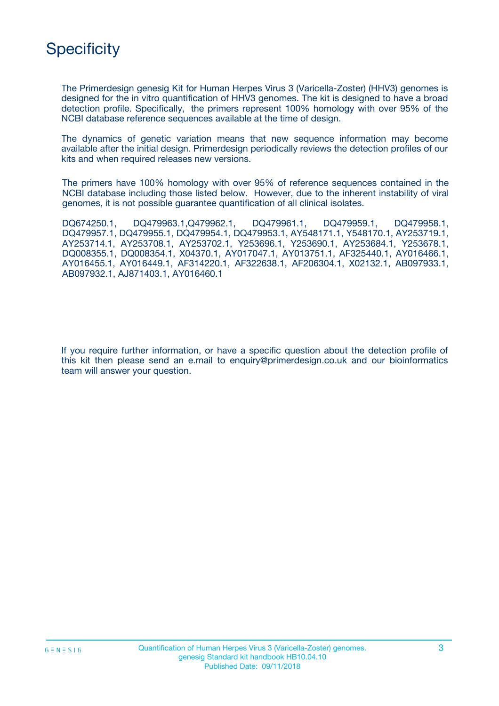

The Primerdesign genesig Kit for Human Herpes Virus 3 (Varicella-Zoster) (HHV3) genomes is designed for the in vitro quantification of HHV3 genomes. The kit is designed to have a broad detection profile. Specifically, the primers represent 100% homology with over 95% of the NCBI database reference sequences available at the time of design.

The dynamics of genetic variation means that new sequence information may become available after the initial design. Primerdesign periodically reviews the detection profiles of our kits and when required releases new versions.

The primers have 100% homology with over 95% of reference sequences contained in the NCBI database including those listed below. However, due to the inherent instability of viral genomes, it is not possible guarantee quantification of all clinical isolates.

DQ674250.1, DQ479963.1,Q479962.1, DQ479961.1, DQ479959.1, DQ479958.1, DQ479957.1, DQ479955.1, DQ479954.1, DQ479953.1, AY548171.1, Y548170.1, AY253719.1, AY253714.1, AY253708.1, AY253702.1, Y253696.1, Y253690.1, AY253684.1, Y253678.1, DQ008355.1, DQ008354.1, X04370.1, AY017047.1, AY013751.1, AF325440.1, AY016466.1, AY016455.1, AY016449.1, AF314220.1, AF322638.1, AF206304.1, X02132.1, AB097933.1, AB097932.1, AJ871403.1, AY016460.1

If you require further information, or have a specific question about the detection profile of this kit then please send an e.mail to enquiry@primerdesign.co.uk and our bioinformatics team will answer your question.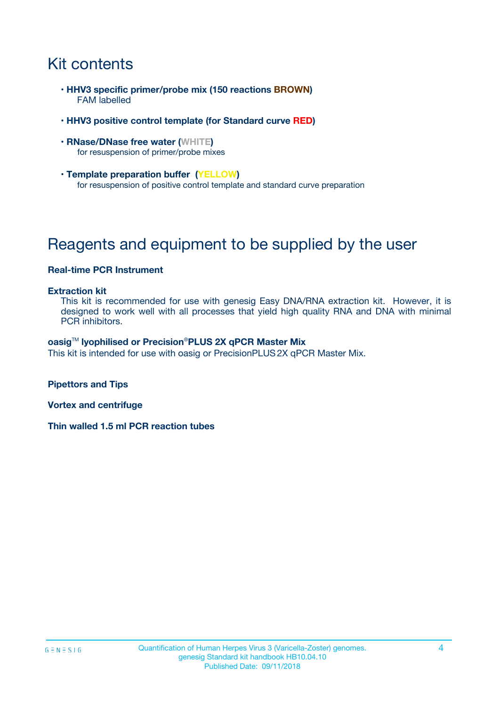# Kit contents

- **HHV3 specific primer/probe mix (150 reactions BROWN)** FAM labelled
- **HHV3 positive control template (for Standard curve RED)**
- **RNase/DNase free water (WHITE)** for resuspension of primer/probe mixes
- **Template preparation buffer (YELLOW)** for resuspension of positive control template and standard curve preparation

# Reagents and equipment to be supplied by the user

#### **Real-time PCR Instrument**

#### **Extraction kit**

This kit is recommended for use with genesig Easy DNA/RNA extraction kit. However, it is designed to work well with all processes that yield high quality RNA and DNA with minimal PCR inhibitors.

#### **oasig**TM **lyophilised or Precision**®**PLUS 2X qPCR Master Mix**

This kit is intended for use with oasig or PrecisionPLUS2X qPCR Master Mix.

**Pipettors and Tips**

**Vortex and centrifuge**

**Thin walled 1.5 ml PCR reaction tubes**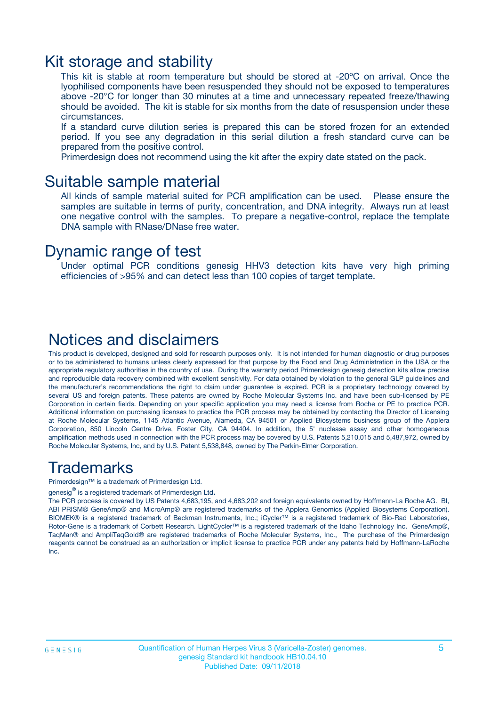### Kit storage and stability

This kit is stable at room temperature but should be stored at -20ºC on arrival. Once the lyophilised components have been resuspended they should not be exposed to temperatures above -20°C for longer than 30 minutes at a time and unnecessary repeated freeze/thawing should be avoided. The kit is stable for six months from the date of resuspension under these circumstances.

If a standard curve dilution series is prepared this can be stored frozen for an extended period. If you see any degradation in this serial dilution a fresh standard curve can be prepared from the positive control.

Primerdesign does not recommend using the kit after the expiry date stated on the pack.

### Suitable sample material

All kinds of sample material suited for PCR amplification can be used. Please ensure the samples are suitable in terms of purity, concentration, and DNA integrity. Always run at least one negative control with the samples. To prepare a negative-control, replace the template DNA sample with RNase/DNase free water.

### Dynamic range of test

Under optimal PCR conditions genesig HHV3 detection kits have very high priming efficiencies of >95% and can detect less than 100 copies of target template.

### Notices and disclaimers

This product is developed, designed and sold for research purposes only. It is not intended for human diagnostic or drug purposes or to be administered to humans unless clearly expressed for that purpose by the Food and Drug Administration in the USA or the appropriate regulatory authorities in the country of use. During the warranty period Primerdesign genesig detection kits allow precise and reproducible data recovery combined with excellent sensitivity. For data obtained by violation to the general GLP guidelines and the manufacturer's recommendations the right to claim under guarantee is expired. PCR is a proprietary technology covered by several US and foreign patents. These patents are owned by Roche Molecular Systems Inc. and have been sub-licensed by PE Corporation in certain fields. Depending on your specific application you may need a license from Roche or PE to practice PCR. Additional information on purchasing licenses to practice the PCR process may be obtained by contacting the Director of Licensing at Roche Molecular Systems, 1145 Atlantic Avenue, Alameda, CA 94501 or Applied Biosystems business group of the Applera Corporation, 850 Lincoln Centre Drive, Foster City, CA 94404. In addition, the 5' nuclease assay and other homogeneous amplification methods used in connection with the PCR process may be covered by U.S. Patents 5,210,015 and 5,487,972, owned by Roche Molecular Systems, Inc, and by U.S. Patent 5,538,848, owned by The Perkin-Elmer Corporation.

### Trademarks

Primerdesign™ is a trademark of Primerdesign Ltd.

genesig $^\circledR$  is a registered trademark of Primerdesign Ltd.

The PCR process is covered by US Patents 4,683,195, and 4,683,202 and foreign equivalents owned by Hoffmann-La Roche AG. BI, ABI PRISM® GeneAmp® and MicroAmp® are registered trademarks of the Applera Genomics (Applied Biosystems Corporation). BIOMEK® is a registered trademark of Beckman Instruments, Inc.; iCycler™ is a registered trademark of Bio-Rad Laboratories, Rotor-Gene is a trademark of Corbett Research. LightCycler™ is a registered trademark of the Idaho Technology Inc. GeneAmp®, TaqMan® and AmpliTaqGold® are registered trademarks of Roche Molecular Systems, Inc., The purchase of the Primerdesign reagents cannot be construed as an authorization or implicit license to practice PCR under any patents held by Hoffmann-LaRoche Inc.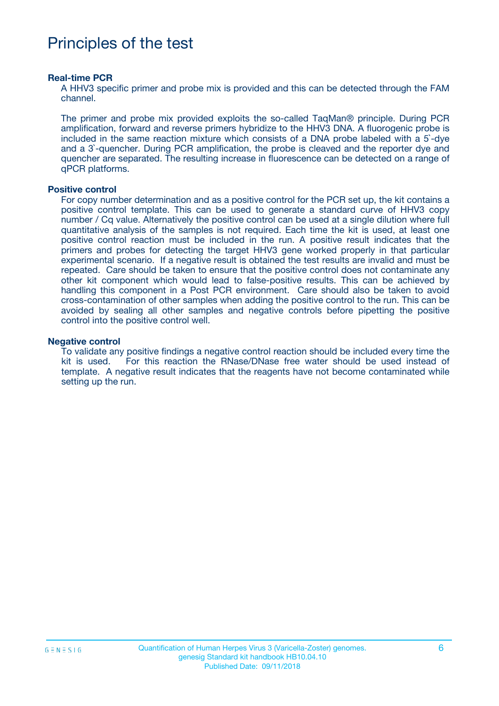## Principles of the test

#### **Real-time PCR**

A HHV3 specific primer and probe mix is provided and this can be detected through the FAM channel.

The primer and probe mix provided exploits the so-called TaqMan® principle. During PCR amplification, forward and reverse primers hybridize to the HHV3 DNA. A fluorogenic probe is included in the same reaction mixture which consists of a DNA probe labeled with a 5`-dye and a 3`-quencher. During PCR amplification, the probe is cleaved and the reporter dye and quencher are separated. The resulting increase in fluorescence can be detected on a range of qPCR platforms.

#### **Positive control**

For copy number determination and as a positive control for the PCR set up, the kit contains a positive control template. This can be used to generate a standard curve of HHV3 copy number / Cq value. Alternatively the positive control can be used at a single dilution where full quantitative analysis of the samples is not required. Each time the kit is used, at least one positive control reaction must be included in the run. A positive result indicates that the primers and probes for detecting the target HHV3 gene worked properly in that particular experimental scenario. If a negative result is obtained the test results are invalid and must be repeated. Care should be taken to ensure that the positive control does not contaminate any other kit component which would lead to false-positive results. This can be achieved by handling this component in a Post PCR environment. Care should also be taken to avoid cross-contamination of other samples when adding the positive control to the run. This can be avoided by sealing all other samples and negative controls before pipetting the positive control into the positive control well.

#### **Negative control**

To validate any positive findings a negative control reaction should be included every time the kit is used. For this reaction the RNase/DNase free water should be used instead of template. A negative result indicates that the reagents have not become contaminated while setting up the run.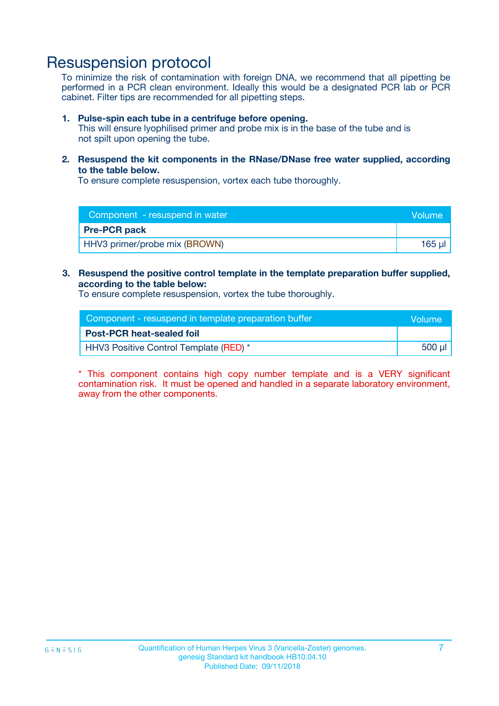### Resuspension protocol

To minimize the risk of contamination with foreign DNA, we recommend that all pipetting be performed in a PCR clean environment. Ideally this would be a designated PCR lab or PCR cabinet. Filter tips are recommended for all pipetting steps.

#### **1. Pulse-spin each tube in a centrifuge before opening.**

This will ensure lyophilised primer and probe mix is in the base of the tube and is not spilt upon opening the tube.

**2. Resuspend the kit components in the RNase/DNase free water supplied, according to the table below.**

To ensure complete resuspension, vortex each tube thoroughly.

| Component - resuspend in water<br>Volume |        |
|------------------------------------------|--------|
| <b>Pre-PCR pack</b>                      |        |
| HHV3 primer/probe mix (BROWN)            | 165 ul |

### **3. Resuspend the positive control template in the template preparation buffer supplied, according to the table below:**

To ensure complete resuspension, vortex the tube thoroughly.

| Component - resuspend in template preparation buffer |        |  |
|------------------------------------------------------|--------|--|
| <b>Post-PCR heat-sealed foil</b>                     |        |  |
| HHV3 Positive Control Template (RED) *               | 500 µl |  |

\* This component contains high copy number template and is a VERY significant contamination risk. It must be opened and handled in a separate laboratory environment, away from the other components.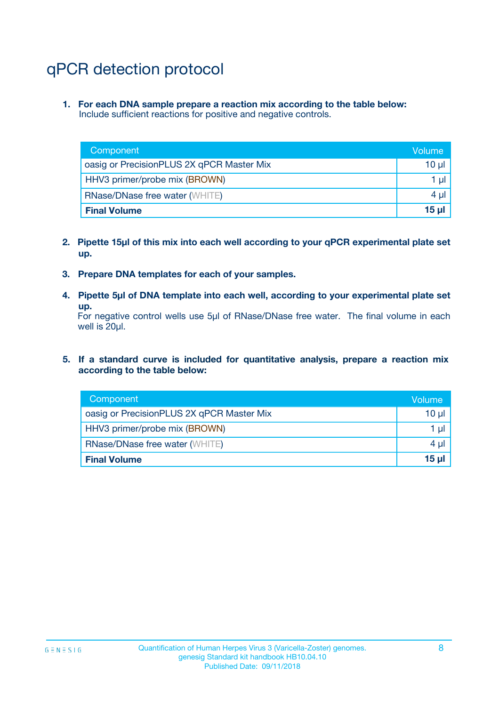# qPCR detection protocol

**1. For each DNA sample prepare a reaction mix according to the table below:** Include sufficient reactions for positive and negative controls.

| Component                                 | Volume           |
|-------------------------------------------|------------------|
| oasig or PrecisionPLUS 2X qPCR Master Mix | 10 $\mu$         |
| HHV3 primer/probe mix (BROWN)             | 1 $\mu$          |
| <b>RNase/DNase free water (WHITE)</b>     | $4 \mu$          |
| <b>Final Volume</b>                       | 15 <sub>ul</sub> |

- **2. Pipette 15µl of this mix into each well according to your qPCR experimental plate set up.**
- **3. Prepare DNA templates for each of your samples.**
- **4. Pipette 5µl of DNA template into each well, according to your experimental plate set up.**

For negative control wells use 5µl of RNase/DNase free water. The final volume in each well is 20µl.

**5. If a standard curve is included for quantitative analysis, prepare a reaction mix according to the table below:**

| Component                                 | Volume          |
|-------------------------------------------|-----------------|
| oasig or PrecisionPLUS 2X qPCR Master Mix | $10 \mu$        |
| HHV3 primer/probe mix (BROWN)             | 1 µI            |
| <b>RNase/DNase free water (WHITE)</b>     | $4 \mu$         |
| <b>Final Volume</b>                       | 15 <sub>µ</sub> |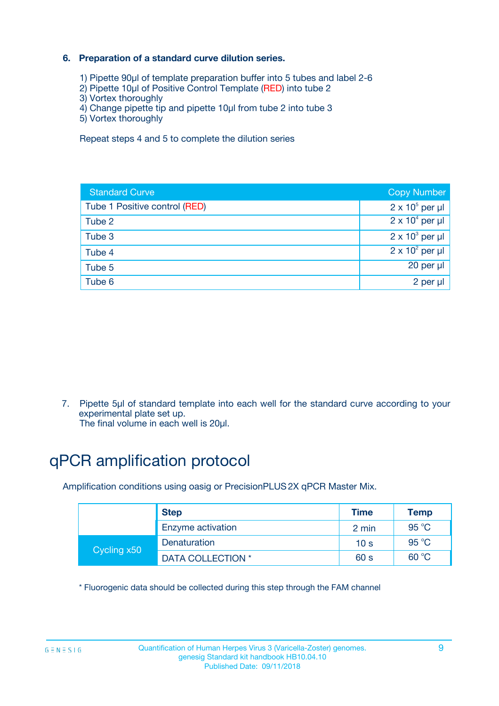### **6. Preparation of a standard curve dilution series.**

- 1) Pipette 90µl of template preparation buffer into 5 tubes and label 2-6
- 2) Pipette 10µl of Positive Control Template (RED) into tube 2
- 3) Vortex thoroughly
- 4) Change pipette tip and pipette 10µl from tube 2 into tube 3
- 5) Vortex thoroughly

Repeat steps 4 and 5 to complete the dilution series

| <b>Standard Curve</b>         | <b>Copy Number</b>     |
|-------------------------------|------------------------|
| Tube 1 Positive control (RED) | $2 \times 10^5$ per µl |
| Tube 2                        | $2 \times 10^4$ per µl |
| Tube 3                        | $2 \times 10^3$ per µl |
| Tube 4                        | $2 \times 10^2$ per µl |
| Tube 5                        | 20 per µl              |
| Tube 6                        | 2 per µl               |

7. Pipette 5µl of standard template into each well for the standard curve according to your experimental plate set up.

The final volume in each well is 20µl.

# qPCR amplification protocol

Amplification conditions using oasig or PrecisionPLUS2X qPCR Master Mix.

|             | <b>Step</b>       | <b>Time</b>     | Temp    |
|-------------|-------------------|-----------------|---------|
|             | Enzyme activation | 2 min           | 95 °C   |
| Cycling x50 | Denaturation      | 10 <sub>s</sub> | 95 $°C$ |
|             | DATA COLLECTION * | 60 s            | 60 °C   |

\* Fluorogenic data should be collected during this step through the FAM channel